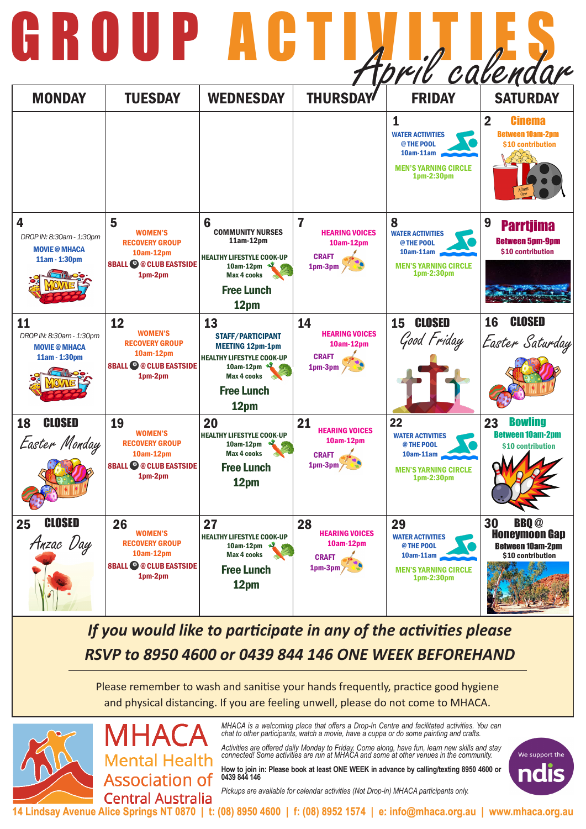*MHACA is a welcoming place that offers a Drop-In Centre and facilitated activities. You can chat to other participants, watch a movie, have a cuppa or do some painting and crafts.* 

*Activities are offered daily Monday to Friday. Come along, have fun, learn new skills and stay connected! Some activities are run at MHACA and some at other venues in the community.* 

**How to join in: Please book at least ONE WEEK in advance by calling/texting 8950 4600 or 0439 844 146**

*Pickups are available for calendar activities (Not Drop-in) MHACA participants only.*



**14 Lindsay Avenue Alice Springs NT 0870 | t: (08) 8950 4600 | f: (08) 8952 1574 | e: info@mhaca.org.au | www.mhaca.org.au**

### *If you would like to participate in any of the activities please RSVP to 8950 4600 or 0439 844 146 ONE WEEK BEFOREHAND*

## GROUP ACTIVITIES April calendar

| <b>MONDAY</b>                                                           | <b>TUESDAY</b>                                                                                          | <b>WEDNESDAY</b>                                                                                                                                              | <b>THURSDAY</b>                                                                  | <b>FRIDAY</b>                                                                                           | <b>SATURDAY</b>                                                                                                     |
|-------------------------------------------------------------------------|---------------------------------------------------------------------------------------------------------|---------------------------------------------------------------------------------------------------------------------------------------------------------------|----------------------------------------------------------------------------------|---------------------------------------------------------------------------------------------------------|---------------------------------------------------------------------------------------------------------------------|
|                                                                         |                                                                                                         |                                                                                                                                                               |                                                                                  | <b>WATER ACTIVITIES</b><br>@ THE POOL<br>10am-11am<br><b>MEN'S YARNING CIRCLE</b><br>1pm-2:30pm         | $\overline{\mathbf{2}}$<br><b>Cinema</b><br><b>Between 10am-2pm</b><br>\$10 contribution<br><sub>Admit</sub><br>One |
| 4<br>DROP IN: 8:30am - 1:30pm<br><b>MOVIE @ MHACA</b><br>11am - 1:30pm  | 5<br><b>WOMEN'S</b><br><b>RECOVERY GROUP</b><br>10am-12pm<br><b>8BALL @ @ CLUB EASTSIDE</b><br>1pm-2pm  | 6<br><b>COMMUNITY NURSES</b><br>$11am-12pm$<br><b>HEALTHY LIFESTYLE COOK-UP</b><br>10am-12pm<br><b>Max 4 cooks</b><br><b>Free Lunch</b><br>12pm               | 7<br><b>HEARING VOICES</b><br>10am-12pm<br><b>CRAFT</b><br>1pm-3pm<br><b>RUT</b> | 8<br><b>WATER ACTIVITIES</b><br>@ THE POOL<br>10am-11am<br><b>MEN'S YARNING CIRCLE</b><br>1pm-2:30pm    | 9<br><b>Parrtjima</b><br><b>Between 5pm-9pm</b><br>\$10 contribution                                                |
| 11<br>DROP IN: 8:30am - 1:30pm<br><b>MOVIE @ MHACA</b><br>11am - 1:30pm | 12<br><b>WOMEN'S</b><br><b>RECOVERY GROUP</b><br>10am-12pm<br><b>8BALL © @ CLUB EASTSIDE</b><br>1pm-2pm | 13<br><b>STAFF/PARTICIPANT</b><br><b>MEETING 12pm-1pm</b><br><b>HEALTHY LIFESTYLE COOK-UP</b><br>10am-12pm<br><b>Max 4 cooks</b><br><b>Free Lunch</b><br>12pm | 14<br><b>HEARING VOICES</b><br>10am-12pm<br><b>CRAFT</b><br>1pm-3pm<br>不一        | <b>CLOSED</b><br>15<br>Good Friday                                                                      | <b>CLOSED</b><br><b>16</b><br>Easter Saturday                                                                       |
| <b>CLOSED</b><br><b>18</b><br>Easter Monday                             | 19<br><b>WOMEN'S</b><br><b>RECOVERY GROUP</b><br>10am-12pm<br><b>8BALL © @ CLUB EASTSIDE</b><br>1pm-2pm | <b>20</b><br><b>HEALTHY LIFESTYLE COOK-UP</b><br>$10am-12pm$<br><b>Max 4 cooks</b><br><b>Free Lunch</b><br>12pm                                               | 21<br><b>HEARING VOICES</b><br>10am-12pm<br><b>CRAFT</b><br>$1pm-3pm$            | 22<br><b>WATER ACTIVITIES</b><br>@ THE POOL<br>10am-11am<br><b>MEN'S YARNING CIRCLE</b><br>1pm-2:30pm   | <b>Bowling</b><br>23<br><b>Between 10am-2pm</b><br>\$10 contribution                                                |
| <b>CLOSED</b><br>25<br>Anzac Day                                        | 26<br><b>WOMEN'S</b><br><b>RECOVERY GROUP</b><br>10am-12pm<br><b>8BALL © @ CLUB EASTSIDE</b><br>1pm-2pm | 27<br><b>HEALTHY LIFESTYLE COOK-UP</b><br>10am-12pm<br><b>Max 4 cooks</b><br><b>Free Lunch</b><br>12pm                                                        | 28<br><b>HEARING VOICES</b><br>10am-12pm<br><b>CRAFT</b><br>$1pm-3pm$            | 29<br><b>WATER ACTIVITIES</b><br>@ THE POOL<br>$10am-11am$<br><b>MEN'S YARNING CIRCLE</b><br>1pm-2:30pm | 30<br><b>BBQ</b> <sup>@</sup><br><b>Honeymoon Gap</b><br><b>Between 10am-2pm</b><br>\$10 contribution               |

Please remember to wash and sanitise your hands frequently, practice good hygiene and physical distancing. If you are feeling unwell, please do not come to MHACA.



/IHA **Mental Health Association of Central Australia**